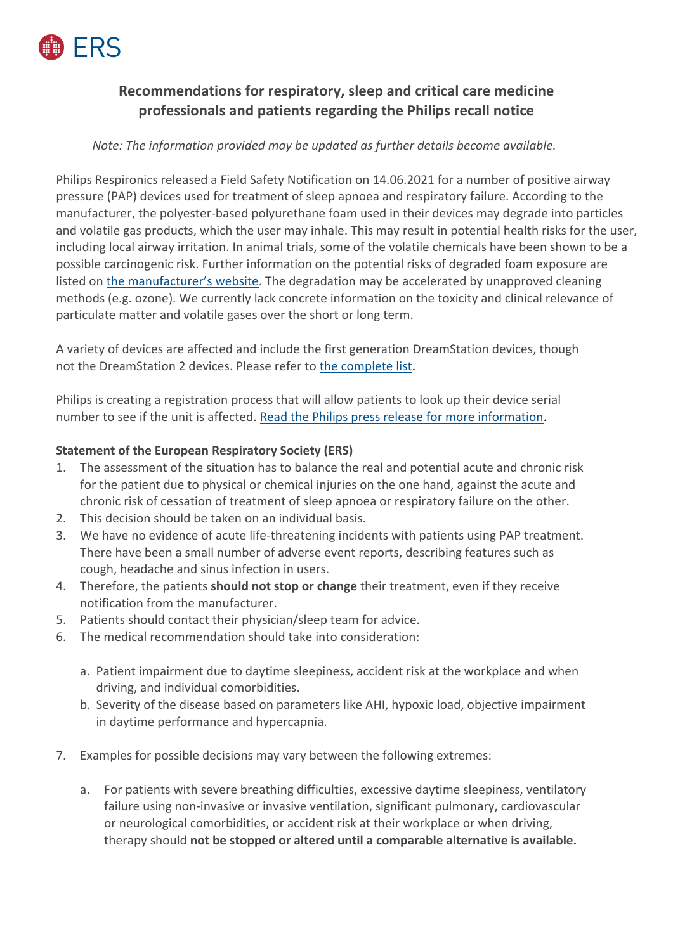

## **Recommendations for respiratory, sleep and critical care medicine professionals and patients regarding the Philips recall notice**

## *Note: The information provided may be updated as further details become available.*

Philips Respironics released a Field Safety Notification on 14.06.2021 for a number of positive airway pressure (PAP) devices used for treatment of sleep apnoea and respiratory failure. According to the manufacturer, the polyester-based polyurethane foam used in their devices may degrade into particles and volatile gas products, which the user may inhale. This may result in potential health risks for the user, including local airway irritation. In animal trials, some of the volatile chemicals have been shown to be a possible carcinogenic risk. Further information on the potential risks of degraded foam exposure are listed on [the manufacturer's website](https://www.usa.philips.com/healthcare/e/sleep/communications/src-update?_hsmi=134277529&_hsenc=p2ANqtz-9vrQxx2GMTd4_SyqSpKb7eySTaP_09uQQACi1ziXt0Ba6bB19aCWC1zLtKHlf4hW4PkN3nq8ePRpf78IKWk5xoYV3pZw#section). The degradation may be accelerated by unapproved cleaning methods (e.g. ozone). We currently lack concrete information on the toxicity and clinical relevance of particulate matter and volatile gases over the short or long term.

A variety of devices are affected and include the first generation DreamStation devices, though not the DreamStation 2 devices. Please refer t[o the complete list.](https://www.usa.philips.com/healthcare/e/sleep/communications/src-update?_hsmi=134277529&_hsenc=p2ANqtz-80vNqVSJw4Qjgdz9CukvGPyAMi4BBwMjEbPgtAep_9V2cutSQyZemwAkv4KcC6jplkbb53OMn_rVbWqZq5Sp9sTdqmNw)

Philips is creating a registration process that will allow patients to look up their device serial number to see if the unit is affected. [Read the Philips press release for more information.](https://www.philips.com/a-w/about/news/archive/standard/news/press/2021/20210614-philips-issues-recall-notification-to-mitigate-potential-health-risks-related-to-the-sound-abatement-foam-component-in-certain-sleep-and-respiratory-care-devices.html?_hsmi=134277529&_hsenc=p2ANqtz-9Dzp4YkghILXItve5TfgnxlLPV17_oCfgmXyJ8vZwlLWB67EzfSYAMJYoxYmLY3MLsF28xAILg4V3cC6AWvRtiIcGmiQ)

## **Statement of the European Respiratory Society (ERS)**

- 1. The assessment of the situation has to balance the real and potential acute and chronic risk for the patient due to physical or chemical injuries on the one hand, against the acute and chronic risk of cessation of treatment of sleep apnoea or respiratory failure on the other.
- 2. This decision should be taken on an individual basis.
- 3. We have no evidence of acute life-threatening incidents with patients using PAP treatment. There have been a small number of adverse event reports, describing features such as cough, headache and sinus infection in users.
- 4. Therefore, the patients **should not stop or change** their treatment, even if they receive notification from the manufacturer.
- 5. Patients should contact their physician/sleep team for advice.
- 6. The medical recommendation should take into consideration:
	- a. Patient impairment due to daytime sleepiness, accident risk at the workplace and when driving, and individual comorbidities.
	- b. Severity of the disease based on parameters like AHI, hypoxic load, objective impairment in daytime performance and hypercapnia.
- 7. Examples for possible decisions may vary between the following extremes:
	- a. For patients with severe breathing difficulties, excessive daytime sleepiness, ventilatory failure using non-invasive or invasive ventilation, significant pulmonary, cardiovascular or neurological comorbidities, or accident risk at their workplace or when driving, therapy should **not be stopped or altered until a comparable alternative is available.**